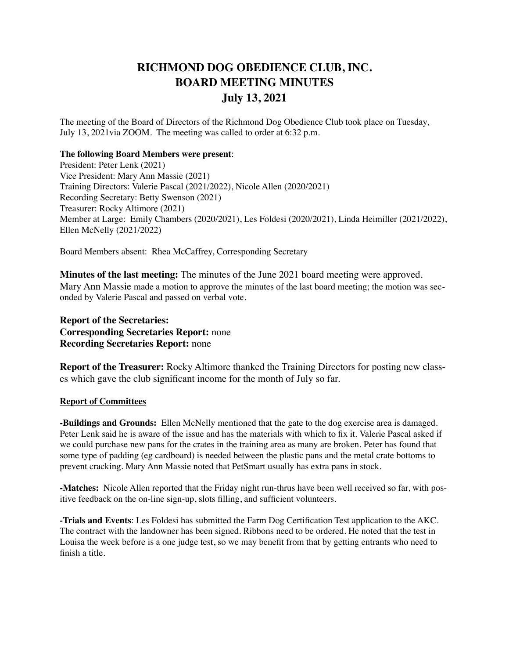## **RICHMOND DOG OBEDIENCE CLUB, INC. BOARD MEETING MINUTES July 13, 2021**

The meeting of the Board of Directors of the Richmond Dog Obedience Club took place on Tuesday, July 13, 2021via ZOOM. The meeting was called to order at 6:32 p.m.

## **The following Board Members were present**:

President: Peter Lenk (2021) Vice President: Mary Ann Massie (2021) Training Directors: Valerie Pascal (2021/2022), Nicole Allen (2020/2021) Recording Secretary: Betty Swenson (2021) Treasurer: Rocky Altimore (2021) Member at Large: Emily Chambers (2020/2021), Les Foldesi (2020/2021), Linda Heimiller (2021/2022), Ellen McNelly (2021/2022)

Board Members absent: Rhea McCaffrey, Corresponding Secretary

**Minutes of the last meeting:** The minutes of the June 2021 board meeting were approved. Mary Ann Massie made a motion to approve the minutes of the last board meeting; the motion was seconded by Valerie Pascal and passed on verbal vote.

## **Report of the Secretaries: Corresponding Secretaries Report:** none **Recording Secretaries Report:** none

**Report of the Treasurer:** Rocky Altimore thanked the Training Directors for posting new classes which gave the club significant income for the month of July so far.

## **Report of Committees**

**-Buildings and Grounds:** Ellen McNelly mentioned that the gate to the dog exercise area is damaged. Peter Lenk said he is aware of the issue and has the materials with which to fix it. Valerie Pascal asked if we could purchase new pans for the crates in the training area as many are broken. Peter has found that some type of padding (eg cardboard) is needed between the plastic pans and the metal crate bottoms to prevent cracking. Mary Ann Massie noted that PetSmart usually has extra pans in stock.

**-Matches:** Nicole Allen reported that the Friday night run-thrus have been well received so far, with positive feedback on the on-line sign-up, slots filling, and sufficient volunteers.

**-Trials and Events**: Les Foldesi has submitted the Farm Dog Certification Test application to the AKC. The contract with the landowner has been signed. Ribbons need to be ordered. He noted that the test in Louisa the week before is a one judge test, so we may benefit from that by getting entrants who need to finish a title.